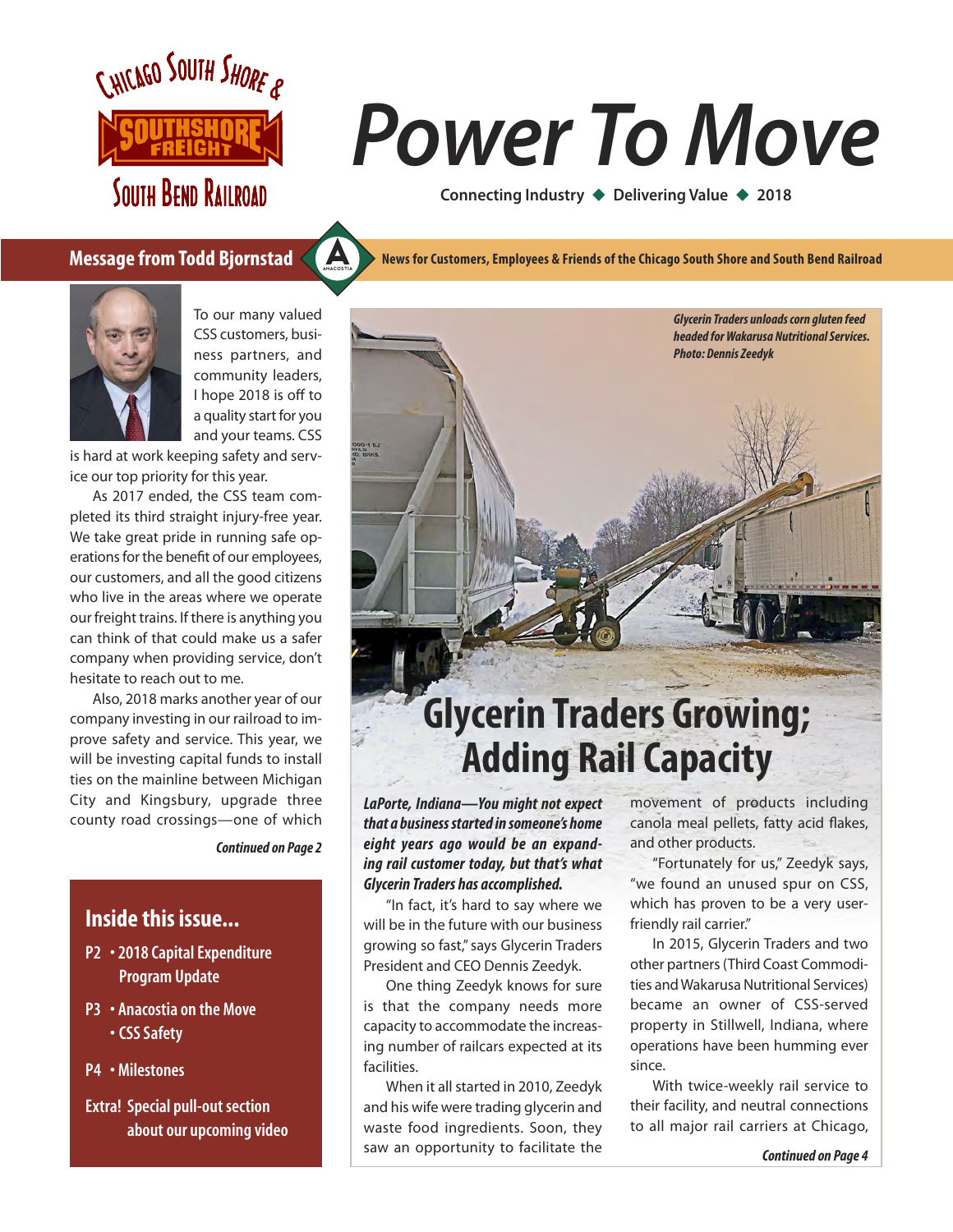

**SOUTH BEND RAILROAD** 

# *Power To Move*

**Connecting Industry ♦ Delivering Value ♦ 2018** 

### **Message from Todd Bjornstad**



To our many valued CSS customers, business partners, and community leaders, I hope 2018 is off to a quality start for you and your teams. CSS

ANACOSTIA [A](https://www.anacostia.com)

is hard at work keeping safety and service our top priority for this year.

As 2017 ended, the CSS team completed its third straight injury-free year. We take great pride in running safe operations for the benefit of our employees, our customers, and all the good citizens who live in the areas where we operate our freight trains. If there is anything you can think of that could make us a safer company when providing service, don't hesitate to reach out to me.

Also, 2018 marks another year of our company investing in our railroad to improve safety and service. This year, we will be investing capital funds to install ties on the mainline between Michigan City and Kingsbury, upgrade three county road crossings—one of which

*Continued on Page 2*

### **Inside this issue...**

- P2 2018 Capital Expenditure Program Update
- P3 Anacostia on the Move • CSS Safety
- P4 Milestones

Extra! Special pull-out section about our upcoming video **News for Customers, Employees & Friends of the Chicago South Shore and South Bend Railroad**



*LaPorte, Indiana—You might not expect that a business started in someone's home eight years ago would be an expanding rail customer today, but that's what Glycerin Traders has accomplished.*

"In fact, it's hard to say where we will be in the future with our business growing so fast," says Glycerin Traders President and CEO Dennis Zeedyk.

One thing Zeedyk knows for sure is that the company needs more capacity to accommodate the increasing number of railcars expected at its facilities.

When it all started in 2010, Zeedyk and his wife were trading glycerin and waste food ingredients. Soon, they saw an opportunity to facilitate the

movement of products including canola meal pellets, fatty acid flakes, and other products.

"Fortunately for us," Zeedyk says, "we found an unused spur on CSS, which has proven to be a very userfriendly rail carrier."

In 2015, Glycerin Traders and two other partners (Third Coast Commodities and Wakarusa Nutritional Services) became an owner of CSS-served property in Stillwell, Indiana, where operations have been humming ever since.

With twice-weekly rail service to their facility, and neutral connections to all major rail carriers at Chicago,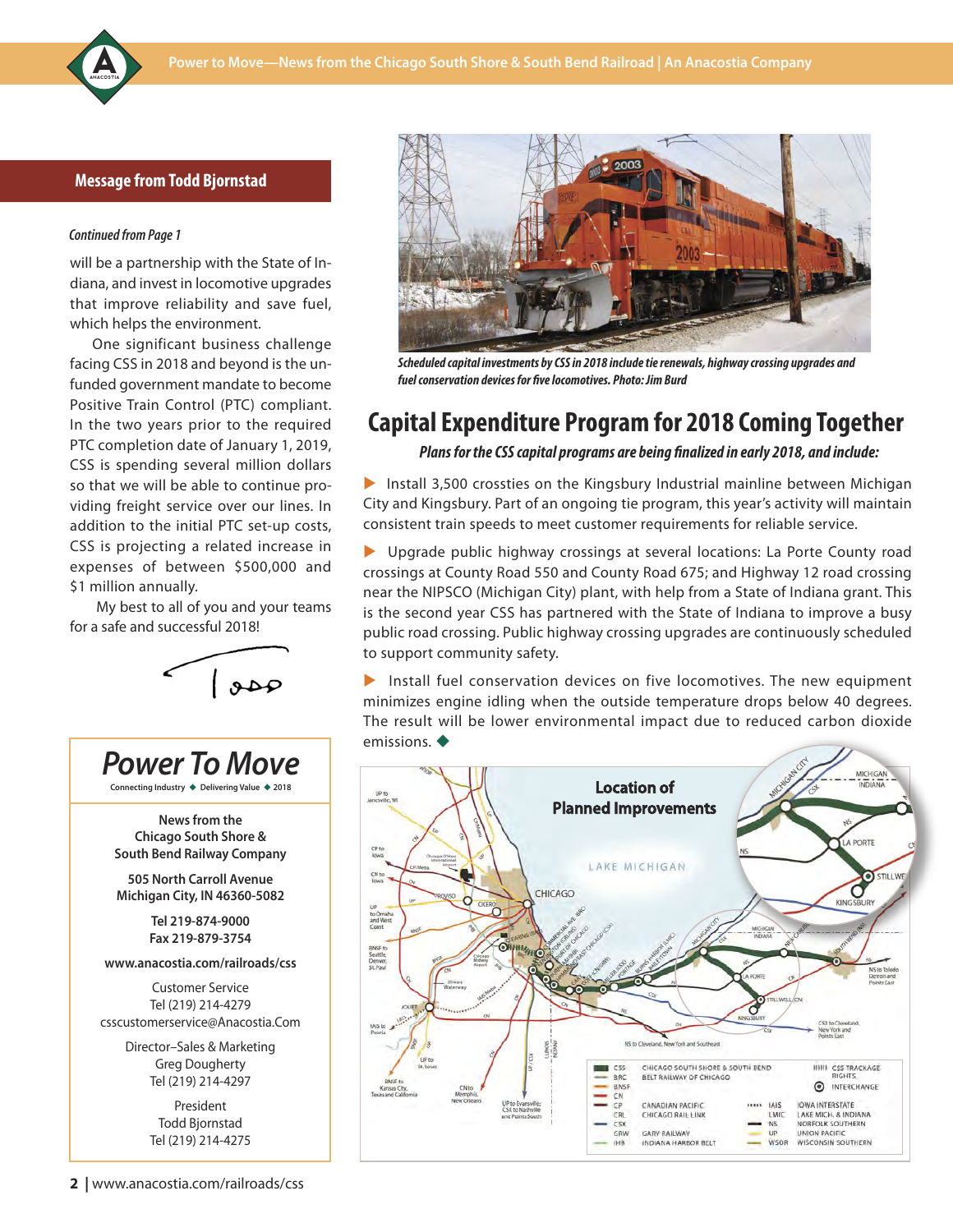### **Message from Todd Bjornstad**

#### Continued from Page 1

will be a partnership with the State of Indiana, and invest in locomotive upgrades that improve reliability and save fuel, which helps the environment.

One significant business challenge facing CSS in 2018 and beyond is the unfunded government mandate to become Positive Train Control (PTC) compliant. In the two years prior to the required PTC completion date of January 1, 2019, CSS is spending several million dollars so that we will be able to continue providing freight service over our lines. In addition to the initial PTC set-up costs, CSS is projecting a related increase in expenses of between \$500,000 and \$1 million annually.

My best to all of you and your teams for a safe and successful 2018!







*Scheduled capital investments by CSS in 2018 include tie renewals, highway crossing upgrades and fuel conservation devices for five locomotives. Photo: Jim Burd*

### **Capital Expenditure Program for 2018 Coming Together**

*Plans for the CSS capital programs are being finalized in early 2018, and include:*

Install 3,500 crossties on the Kingsbury Industrial mainline between Michigan City and Kingsbury. Part of an ongoing tie program, this year's activity will maintain consistent train speeds to meet customer requirements for reliable service.

Deprade public highway crossings at several locations: La Porte County road crossings at County Road 550 and County Road 675; and Highway 12 road crossing near the NIPSCO (Michigan City) plant, with help from a State of Indiana grant. This is the second year CSS has partnered with the State of Indiana to improve a busy public road crossing. Public highway crossing upgrades are continuously scheduled to support community safety.

Install fuel conservation devices on five locomotives. The new equipment minimizes engine idling when the outside temperature drops below 40 degrees. The result will be lower environmental impact due to reduced carbon dioxide emissions.  $\blacklozenge$ 

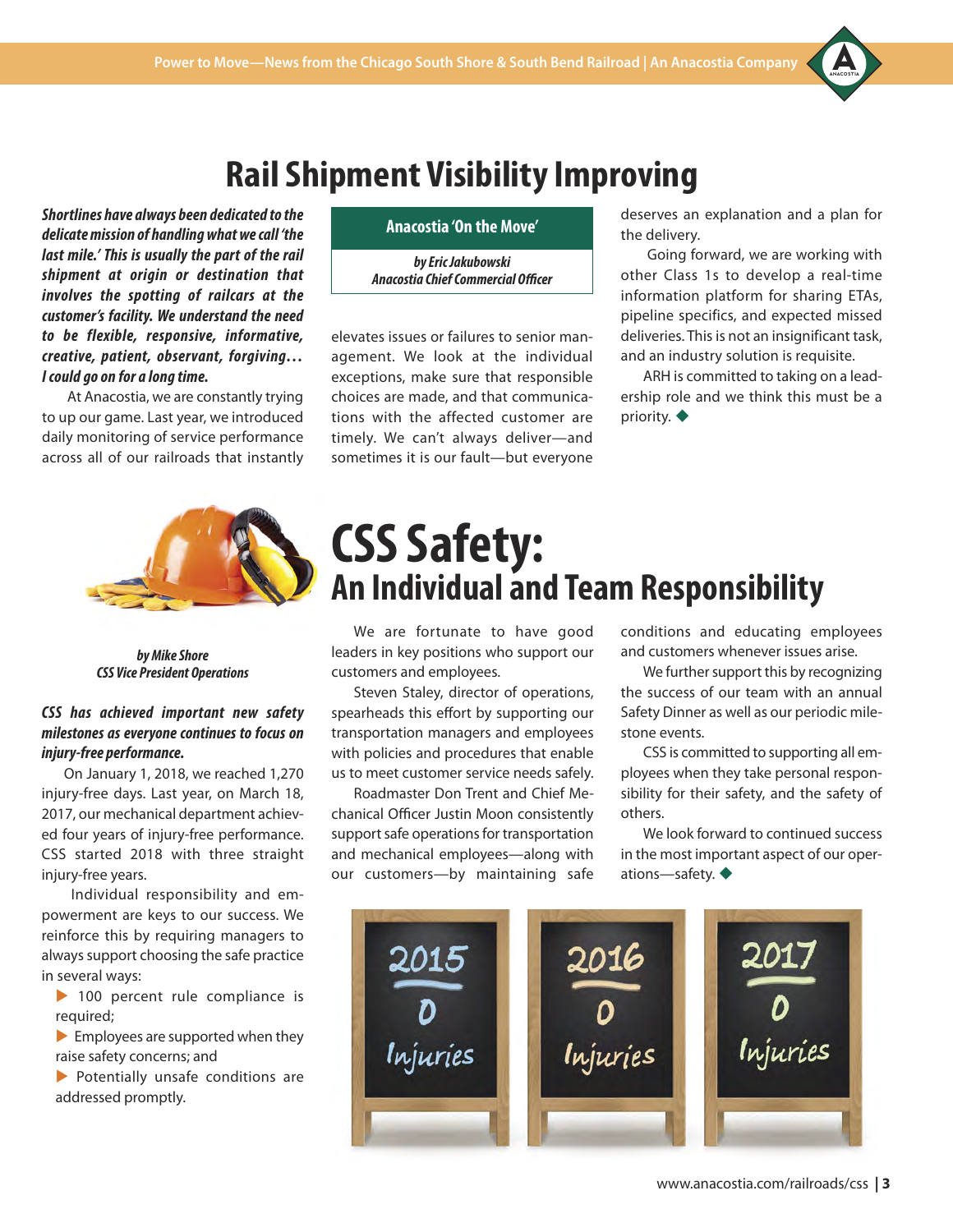### **Rail Shipment Visibility Improving**

*Shortlines have always been dedicated to the delicate mission of handling what we call 'the last mile.' This is usually the part of the rail shipment at origin or destination that involves the spotting of railcars at the customer's facility. We understand the need to be flexible, responsive, informative, creative, patient, observant, forgiving… I could go on for a long time.*

At Anacostia, we are constantly trying to up our game. Last year, we introduced daily monitoring of service performance across all of our railroads that instantly



*by Eric Jakubowski Anacostia Chief Commercial Officer*

elevates issues or failures to senior management. We look at the individual exceptions, make sure that responsible choices are made, and that communications with the affected customer are timely. We can't always deliver—and sometimes it is our fault—but everyone

deserves an explanation and a plan for the delivery.

ANACOSTIA [A](https://www.anacostia.com)

Going forward, we are working with other Class 1s to develop a real-time information platform for sharing ETAs, pipeline specifics, and expected missed deliveries. This is not an insignificant task, and an industry solution is requisite.

ARH is committed to taking on a leadership role and we think this must be a priority.  $\blacklozenge$ 



*by Mike Shore CSS Vice President Operations*

### *CSS has achieved important new safety milestones as everyone continues to focus on injury-free performance.*

On January 1, 2018, we reached 1,270 injury-free days. Last year, on March 18, 2017, our mechanical department achieved four years of injury-free performance. CSS started 2018 with three straight injury-free years.

Individual responsibility and empowerment are keys to our success. We reinforce this by requiring managers to always support choosing the safe practice in several ways:

 $\blacktriangleright$  100 percent rule compliance is required;

 $\blacktriangleright$  Employees are supported when they raise safety concerns; and

 $\blacktriangleright$  Potentially unsafe conditions are addressed promptly.

## **CSS Safety: An Individual and Team Responsibility**

We are fortunate to have good leaders in key positions who support our customers and employees.

Steven Staley, director of operations, spearheads this effort by supporting our transportation managers and employees with policies and procedures that enable us to meet customer service needs safely.

Roadmaster Don Trent and Chief Mechanical Officer Justin Moon consistently support safe operations for transportation and mechanical employees—along with our customers—by maintaining safe

conditions and educating employees and customers whenever issues arise.

We further support this by recognizing the success of our team with an annual Safety Dinner as well as our periodic milestone events.

CSS is committed to supporting all employees when they take personal responsibility for their safety, and the safety of others.

We look forward to continued success in the most important aspect of our operations—safety.  $\blacklozenge$ 

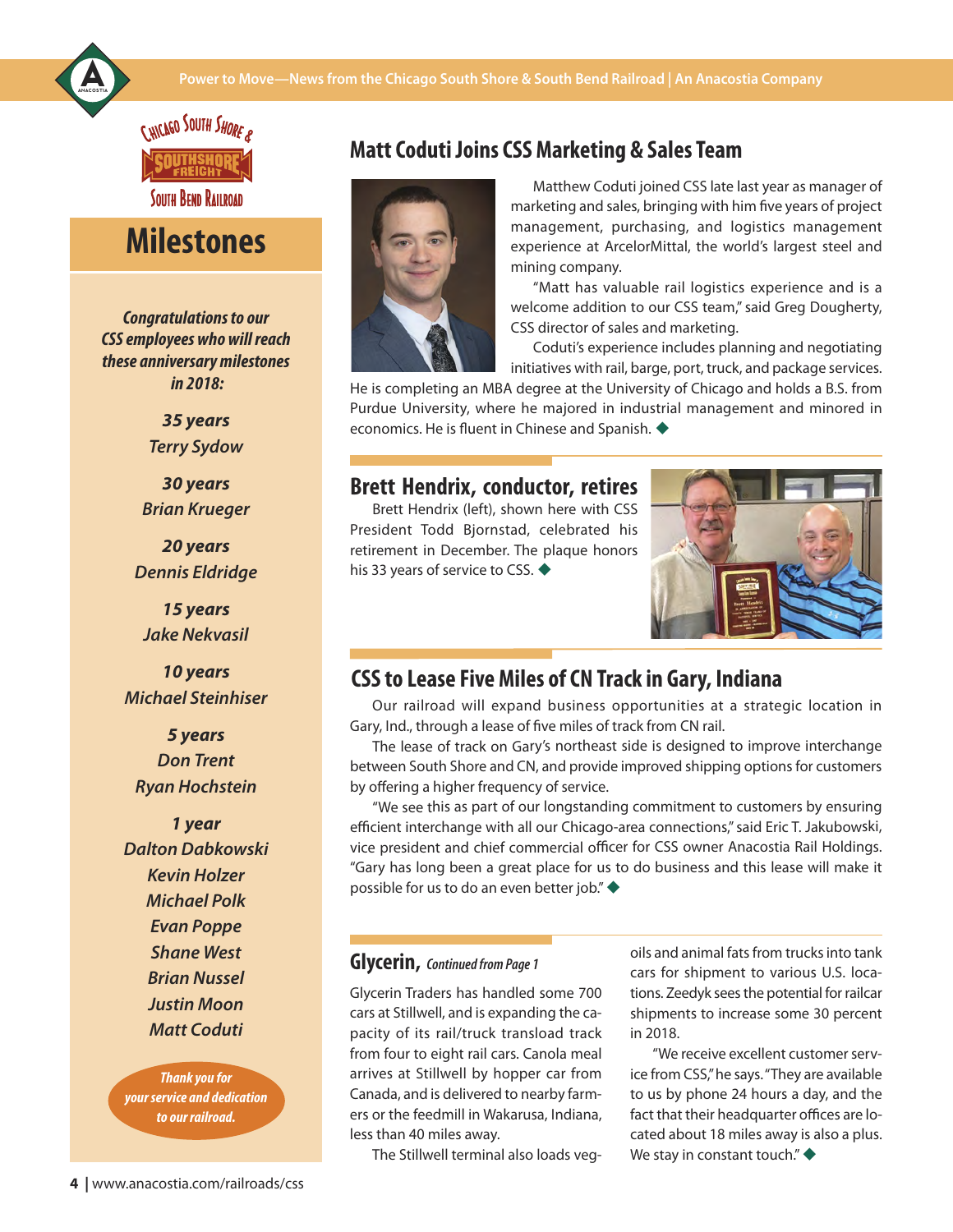#### **Power to Move—News from the Chicago South Shore & South Bend Railroad | [A](https://www.anacostia.com)n Anacostia Company**



C.HICAGO SOUTH SHORE A

**SOUTH BEND RAILROAD** 

### **Milestones**

*Congratulations to our CSS employees who will reach these anniversary milestones in 2018:*

> *35 years Terry Sydow*

*30 years Brian Krueger*

*20 years Dennis Eldridge*

*15 years Jake Nekvasil*

*10 years Michael Steinhiser*

*5 years Don Trent Ryan Hochstein*

*1 year Dalton Dabkowski Kevin Holzer Michael Polk Evan Poppe Shane West Brian Nussel Justin Moon Matt Coduti*

*Thank you for your Thank you for service and dedication your service and dedication to our railroad.*

### **Matt Coduti Joins CSS Marketing & Sales Team**



Matthew Coduti joined CSS late last year as manager of marketing and sales, bringing with him five years of project management, purchasing, and logistics management experience at ArcelorMittal, the world's largest steel and mining company.

"Matt has valuable rail logistics experience and is a welcome addition to our CSS team," said Greg Dougherty, CSS director of sales and marketing.

Coduti's experience includes planning and negotiating initiatives with rail, barge, port, truck, and package services.

He is completing an MBA degree at the University of Chicago and holds a B.S. from Purdue University, where he majored in industrial management and minored in economics. He is fluent in Chinese and Spanish.  $\blacklozenge$ 

### **Brett Hendrix, conductor, retires**

Brett Hendrix (left), shown here with CSS President Todd Bjornstad, celebrated his retirement in December. The plaque honors his 33 years of service to CSS.  $\blacklozenge$ 



Our railroad will expand business opportunities at a strategic location in Gary, Ind., through a lease of five miles of track from CN rail.

The lease of track on Gary's northeast side is designed to improve interchange between South Shore and CN, and provide improved shipping options for customers by offering a higher frequency of service.

"We see this as part of our longstanding commitment to customers by ensuring efficient interchange with all our Chicago-area connections," said Eric T. Jakubowski, vice president and chief commercial officer for CSS owner Anacostia Rail Holdings. "Gary has long been a great place for us to do business and this lease will make it possible for us to do an even better job." $\blacklozenge$ **10 years**<br> **CSS to Lease Five Miles of CN Track in Gary, Indiana**<br>
Cour railroad will expand business opportunities at a strate<br> **Con Trent**<br>
The lease of track on Gary's northeast side is designed to improver<br> **DON Trent** 

### **Glycerin,** Continued from Page 1

Glycerin Traders has handled some 700 cars at Stillwell, and is expanding the capacity of its rail/truck transload track from four to eight rail cars. Canola meal arrives at Stillwell by hopper car from Canada, and is delivered to nearby farmers or the feedmill in Wakarusa, Indiana, less than 40 miles away.

The Stillwell terminal also loads veg-

oils and animal fats from trucks into tank cars for shipment to various U.S. locations. Zeedyk sees the potential for railcar shipments to increase some 30 percent in 2018.

"We receive excellent customer service from CSS," he says. "They are available to us by phone 24 hours a day, and the fact that their headquarter offices are located about 18 miles away is also a plus. We stay in constant touch." $\blacklozenge$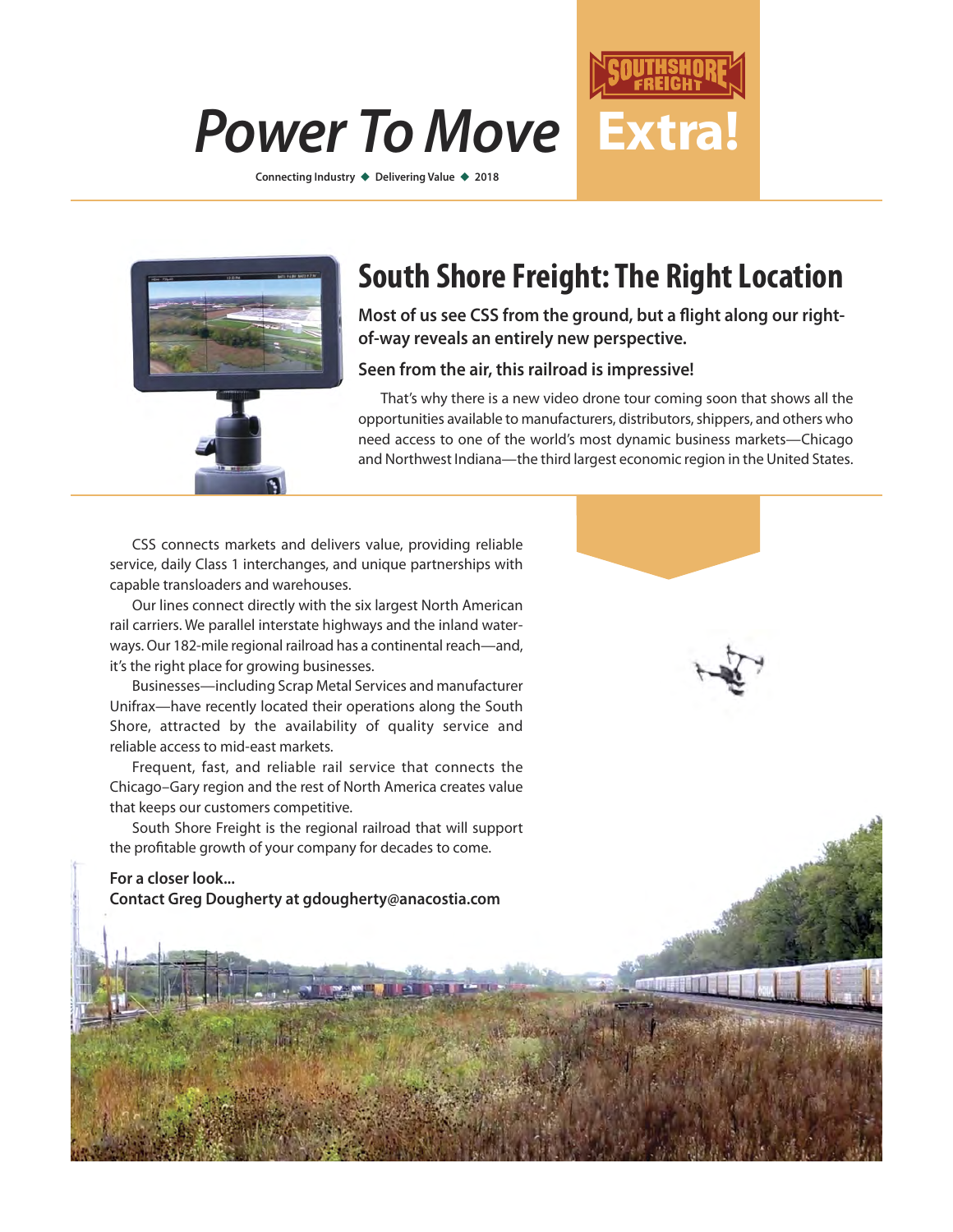# *Power To Move* **Extra!**

**Connecting Industry ♦ Delivering Value ♦ 2018** 



### **South Shore Freight: The Right Location**

**Most of us see CSS from the ground, but a flight along our rightof-way reveals an entirely new perspective.** 

#### **Seen from the air, this railroad is impressive!**

That's why there is a new video drone tour coming soon that shows all the opportunities available to manufacturers, distributors, shippers, and others who need access to one of the world's most dynamic business markets—Chicago and Northwest Indiana—the third largest economic region in the United States.

CSS connects markets and delivers value, providing reliable service, daily Class 1 interchanges, and unique partnerships with capable transloaders and warehouses.

Our lines connect directly with the six largest North American rail carriers. We parallel interstate highways and the inland waterways. Our 182-mile regional railroad has a continental reach—and, it's the right place for growing businesses.

Businesses—including Scrap Metal Services and manufacturer Unifrax—have recently located their operations along the South Shore, attracted by the availability of quality service and reliable access to mid-east markets.

Frequent, fast, and reliable rail service that connects the Chicago–Gary region and the rest of North America creates value that keeps our customers competitive.

South Shore Freight is the regional railroad that will support the profitable growth of your company for decades to come.

**For a closer look... Contact Greg Dougherty at gdougherty@anacostia.com**